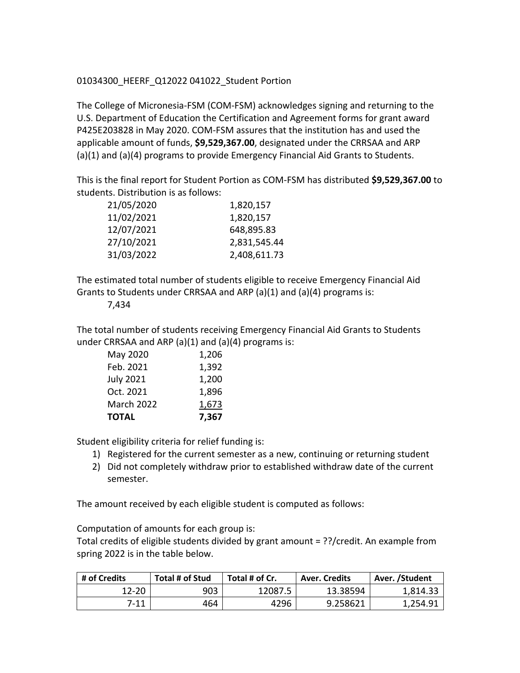## 01034300\_HEERF\_Q12022 041022\_Student Portion

The College of Micronesia-FSM (COM-FSM) acknowledges signing and returning to the U.S. Department of Education the Certification and Agreement forms for grant award P425E203828 in May 2020. COM-FSM assures that the institution has and used the applicable amount of funds, **\$9,529,367.00**, designated under the CRRSAA and ARP (a)(1) and (a)(4) programs to provide Emergency Financial Aid Grants to Students.

This is the final report for Student Portion as COM-FSM has distributed **\$9,529,367.00** to students. Distribution is as follows:

| 21/05/2020 | 1,820,157    |  |  |
|------------|--------------|--|--|
| 11/02/2021 | 1,820,157    |  |  |
| 12/07/2021 | 648,895.83   |  |  |
| 27/10/2021 | 2,831,545.44 |  |  |
| 31/03/2022 | 2,408,611.73 |  |  |

The estimated total number of students eligible to receive Emergency Financial Aid Grants to Students under CRRSAA and ARP (a)(1) and (a)(4) programs is:

7,434

The total number of students receiving Emergency Financial Aid Grants to Students under CRRSAA and ARP  $(a)(1)$  and  $(a)(4)$  programs is:

| <b>July 2021</b><br>Oct. 2021 | 1,200<br>1,896 |
|-------------------------------|----------------|
| <b>March 2022</b>             | 1,673          |
| <b>TOTAL</b>                  | 7,367          |

Student eligibility criteria for relief funding is:

- 1) Registered for the current semester as a new, continuing or returning student
- 2) Did not completely withdraw prior to established withdraw date of the current semester.

The amount received by each eligible student is computed as follows:

Computation of amounts for each group is:

Total credits of eligible students divided by grant amount = ??/credit. An example from spring 2022 is in the table below.

| # of Credits | Total # of Stud | Total # of Cr. | Aver. Credits | Aver. /Student |
|--------------|-----------------|----------------|---------------|----------------|
| 12-20        | 903             | 12087.5        | 13.38594      | 1,814.33       |
| 7-11         | 464             | 4296           | 9.258621      | 1,254.91       |